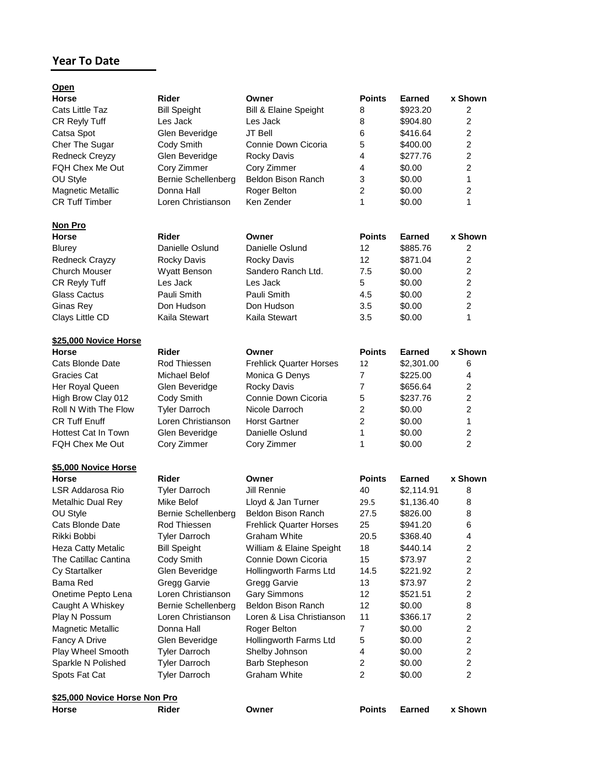## **Year To Date**

| <u>Open</u>                |                            |                                |                |               |                         |
|----------------------------|----------------------------|--------------------------------|----------------|---------------|-------------------------|
| <b>Horse</b>               | Rider                      | Owner                          | <b>Points</b>  | <b>Earned</b> | x Shown                 |
| Cats Little Taz            | <b>Bill Speight</b>        | Bill & Elaine Speight          | 8              | \$923.20      | 2                       |
| CR Reyly Tuff              | Les Jack                   | Les Jack                       | 8              | \$904.80      | $\overline{2}$          |
| Catsa Spot                 | Glen Beveridge             | <b>JT Bell</b>                 | 6              | \$416.64      | $\overline{2}$          |
| Cher The Sugar             | Cody Smith                 | Connie Down Cicoria            | 5              | \$400.00      | $\overline{c}$          |
| <b>Redneck Creyzy</b>      | Glen Beveridge             | <b>Rocky Davis</b>             | 4              | \$277.76      | $\overline{2}$          |
| FQH Chex Me Out            | Cory Zimmer                | Cory Zimmer                    | 4              | \$0.00        | $\overline{2}$          |
| OU Style                   | Bernie Schellenberg        | Beldon Bison Ranch             | 3              | \$0.00        | 1                       |
| <b>Magnetic Metallic</b>   | Donna Hall                 | Roger Belton                   | $\overline{2}$ | \$0.00        | $\overline{2}$          |
| <b>CR Tuff Timber</b>      | Loren Christianson         | Ken Zender                     | 1              | \$0.00        | 1                       |
| <b>Non Pro</b>             |                            |                                |                |               |                         |
| <b>Horse</b>               | Rider                      | Owner                          | <b>Points</b>  | <b>Earned</b> | x Shown                 |
| <b>Blurey</b>              | Danielle Oslund            | Danielle Oslund                | 12             | \$885.76      | $\overline{2}$          |
| <b>Redneck Crayzy</b>      | Rocky Davis                | Rocky Davis                    | 12             | \$871.04      | $\overline{2}$          |
| <b>Church Mouser</b>       | <b>Wyatt Benson</b>        | Sandero Ranch Ltd.             | 7.5            | \$0.00        | $\overline{2}$          |
| CR Reyly Tuff              | Les Jack                   | Les Jack                       | 5              | \$0.00        | $\overline{c}$          |
| Glass Cactus               | Pauli Smith                | Pauli Smith                    | 4.5            | \$0.00        | $\overline{2}$          |
| Ginas Rey                  | Don Hudson                 | Don Hudson                     | 3.5            | \$0.00        | $\overline{2}$          |
| Clays Little CD            | Kaila Stewart              | Kaila Stewart                  | 3.5            | \$0.00        | 1                       |
| \$25,000 Novice Horse      |                            |                                |                |               |                         |
| Horse                      | Rider                      | Owner                          | <b>Points</b>  | Earned        | x Shown                 |
| Cats Blonde Date           | Rod Thiessen               | <b>Frehlick Quarter Horses</b> | 12             | \$2,301.00    | 6                       |
| Gracies Cat                | Michael Belof              | Monica G Denys                 | $\overline{7}$ | \$225.00      | 4                       |
| Her Royal Queen            | Glen Beveridge             | <b>Rocky Davis</b>             | 7              | \$656.64      | 2                       |
| High Brow Clay 012         | Cody Smith                 | Connie Down Cicoria            | 5              | \$237.76      | $\overline{2}$          |
| Roll N With The Flow       | <b>Tyler Darroch</b>       | Nicole Darroch                 | 2              | \$0.00        | $\overline{2}$          |
| <b>CR Tuff Enuff</b>       | Loren Christianson         | <b>Horst Gartner</b>           | 2              | \$0.00        | $\mathbf{1}$            |
| <b>Hottest Cat In Town</b> | Glen Beveridge             | Danielle Oslund                | 1              | \$0.00        | $\overline{c}$          |
| FQH Chex Me Out            | Cory Zimmer                | Cory Zimmer                    | 1              | \$0.00        | $\overline{2}$          |
| \$5,000 Novice Horse       |                            |                                |                |               |                         |
| <b>Horse</b>               | Rider                      | Owner                          | <b>Points</b>  | <b>Earned</b> | x Shown                 |
| LSR Addarosa Rio           | <b>Tyler Darroch</b>       | Jill Rennie                    | 40             | \$2,114.91    | 8                       |
| Metalhic Dual Rey          | Mike Belof                 | Lloyd & Jan Turner             | 29.5           | \$1,136.40    | 8                       |
| OU Style                   | Bernie Schellenberg        | Beldon Bison Ranch             | 27.5           | \$826.00      | 8                       |
| Cats Blonde Date           | Rod Thiessen               | <b>Frehlick Quarter Horses</b> | 25             | \$941.20      | 6                       |
| Rikki Bobbi                | <b>Tyler Darroch</b>       | Graham White                   | 20.5           | \$368.40      | 4                       |
| <b>Heza Catty Metalic</b>  | <b>Bill Speight</b>        | William & Elaine Speight       | 18             | \$440.14      | $\overline{2}$          |
| The Catillac Cantina       | Cody Smith                 | Connie Down Cicoria            | 15             | \$73.97       | $\overline{2}$          |
| Cy Startalker              | Glen Beveridge             | Hollingworth Farms Ltd         | 14.5           | \$221.92      | $\overline{c}$          |
| Bama Red                   |                            |                                |                |               | $\overline{c}$          |
|                            | Gregg Garvie               | Gregg Garvie                   | 13             | \$73.97       | $\overline{2}$          |
| Onetime Pepto Lena         | Loren Christianson         | <b>Gary Simmons</b>            | 12             | \$521.51      |                         |
| Caught A Whiskey           | <b>Bernie Schellenberg</b> | Beldon Bison Ranch             | 12             | \$0.00        | 8                       |
| Play N Possum              | Loren Christianson         | Loren & Lisa Christianson      | 11             | \$366.17      | $\overline{\mathbf{c}}$ |
| <b>Magnetic Metallic</b>   | Donna Hall                 | Roger Belton                   | $\overline{7}$ | \$0.00        | $\overline{2}$          |
| Fancy A Drive              | Glen Beveridge             | Hollingworth Farms Ltd         | 5              | \$0.00        | $\overline{2}$          |
| Play Wheel Smooth          | <b>Tyler Darroch</b>       | Shelby Johnson                 | 4              | \$0.00        | $\overline{2}$          |
| Sparkle N Polished         | <b>Tyler Darroch</b>       | <b>Barb Stepheson</b>          | 2              | \$0.00        | $\overline{2}$          |
| Spots Fat Cat              | <b>Tyler Darroch</b>       | <b>Graham White</b>            | 2              | \$0.00        | $\overline{2}$          |
|                            |                            |                                |                |               |                         |

## **\$25,000 Novice Horse Non Pro**

| Rider<br>Points Earned x Shown<br>Horse<br>Owner |
|--------------------------------------------------|
|--------------------------------------------------|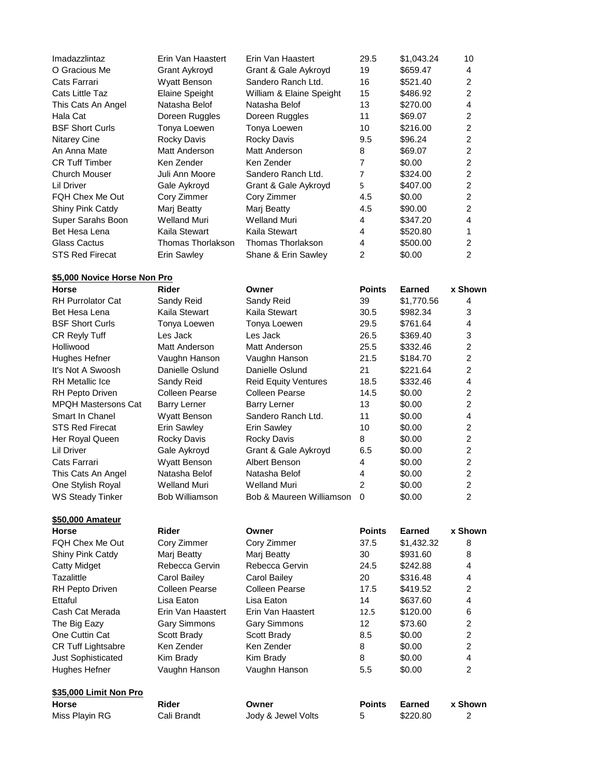| Imadazzlintaz          | Erin Van Haastert     | Erin Van Haastert        | 29.5 | \$1,043.24 | 10             |
|------------------------|-----------------------|--------------------------|------|------------|----------------|
| O Gracious Me          | Grant Aykroyd         | Grant & Gale Aykroyd     | 19   | \$659.47   | 4              |
| Cats Farrari           | <b>Wyatt Benson</b>   | Sandero Ranch Ltd.       | 16   | \$521.40   | 2              |
| Cats Little Taz        | <b>Elaine Speight</b> | William & Elaine Speight | 15   | \$486.92   | 2              |
| This Cats An Angel     | Natasha Belof         | Natasha Belof            | 13   | \$270.00   | 4              |
| Hala Cat               | Doreen Ruggles        | Doreen Ruggles           | 11   | \$69.07    | 2              |
| <b>BSF Short Curls</b> | Tonya Loewen          | Tonya Loewen             | 10   | \$216.00   | 2              |
| <b>Nitarey Cine</b>    | Rocky Davis           | Rocky Davis              | 9.5  | \$96.24    | 2              |
| An Anna Mate           | Matt Anderson         | Matt Anderson            | 8    | \$69.07    | 2              |
| <b>CR Tuff Timber</b>  | Ken Zender            | Ken Zender               | 7    | \$0.00     | 2              |
| Church Mouser          | Juli Ann Moore        | Sandero Ranch Ltd.       | 7    | \$324.00   | $\overline{2}$ |
| Lil Driver             | Gale Aykroyd          | Grant & Gale Aykroyd     | 5    | \$407.00   | 2              |
| FQH Chex Me Out        | Cory Zimmer           | Cory Zimmer              | 4.5  | \$0.00     | 2              |
| Shiny Pink Catdy       | Mari Beatty           | Mari Beatty              | 4.5  | \$90.00    | $\overline{2}$ |
| Super Sarahs Boon      | Welland Muri          | Welland Muri             | 4    | \$347.20   | 4              |
| Bet Hesa Lena          | Kaila Stewart         | Kaila Stewart            | 4    | \$520.80   |                |
| Glass Cactus           | Thomas Thorlakson.    | Thomas Thorlakson        | 4    | \$500.00   | 2              |
| <b>STS Red Firecat</b> | <b>Erin Sawley</b>    | Shane & Erin Sawley      | 2    | \$0.00     | 2              |

## **\$5,000 Novice Horse Non Pro**

| Horse                   | <b>Rider</b>        | Owner                       | <b>Points</b> | Earned     | x Shown        |
|-------------------------|---------------------|-----------------------------|---------------|------------|----------------|
| RH Purrolator Cat       | Sandy Reid          | Sandy Reid                  | 39            | \$1,770.56 | 4              |
| Bet Hesa Lena           | Kaila Stewart       | Kaila Stewart               | 30.5          | \$982.34   | 3              |
| <b>BSF Short Curls</b>  | Tonya Loewen        | Tonya Loewen                | 29.5          | \$761.64   | 4              |
| CR Reyly Tuff           | Les Jack            | Les Jack                    | 26.5          | \$369.40   | 3              |
| Holliwood               | Matt Anderson       | Matt Anderson               | 25.5          | \$332.46   | 2              |
| Hughes Hefner           | Vaughn Hanson       | Vaughn Hanson               | 21.5          | \$184.70   | 2              |
| It's Not A Swoosh       | Danielle Oslund     | Danielle Oslund             | 21            | \$221.64   | 2              |
| RH Metallic Ice         | Sandy Reid          | <b>Reid Equity Ventures</b> | 18.5          | \$332.46   | 4              |
| RH Pepto Driven         | Colleen Pearse      | Colleen Pearse              | 14.5          | \$0.00     | $\overline{2}$ |
| MPQH Mastersons Cat     | <b>Barry Lerner</b> | <b>Barry Lerner</b>         | 13            | \$0.00     | $\overline{2}$ |
| Smart In Chanel         | <b>Wyatt Benson</b> | Sandero Ranch Ltd.          | 11            | \$0.00     | $\overline{4}$ |
| STS Red Firecat         | Erin Sawley         | Erin Sawley                 | 10            | \$0.00     | 2              |
| Her Royal Queen         | Rocky Davis         | Rocky Davis                 | 8             | \$0.00     | 2              |
| Lil Driver              | Gale Aykroyd        | Grant & Gale Aykroyd        | 6.5           | \$0.00     | 2              |
| Cats Farrari            | Wyatt Benson        | Albert Benson               | 4             | \$0.00     | 2              |
| This Cats An Angel      | Natasha Belof       | Natasha Belof               | 4             | \$0.00     | 2              |
| One Stylish Royal       | <b>Welland Muri</b> | Welland Muri                | 2             | \$0.00     | $\mathcal{P}$  |
| WS Steady Tinker        | Bob Williamson      | Bob & Maureen Williamson    | 0             | \$0.00     | 2              |
| <u>\$50,000 Amateur</u> |                     |                             |               |            |                |

| <b>Horse</b>              | Rider             | Owner                 | <b>Points</b> | Earned     | x Shown        |
|---------------------------|-------------------|-----------------------|---------------|------------|----------------|
| FOH Chex Me Out           | Cory Zimmer       | Cory Zimmer           | 37.5          | \$1,432.32 | 8              |
| Shiny Pink Catdy          | Mari Beatty       | Mari Beatty           | 30            | \$931.60   | 8              |
| <b>Catty Midget</b>       | Rebecca Gervin    | Rebecca Gervin        | 24.5          | \$242.88   | 4              |
| Tazalittle                | Carol Bailey      | Carol Bailey          | 20            | \$316.48   | 4              |
| RH Pepto Driven           | Colleen Pearse    | <b>Colleen Pearse</b> | 17.5          | \$419.52   | 2              |
| Ettaful                   | Lisa Eaton        | Lisa Eaton            | 14            | \$637.60   | 4              |
| Cash Cat Merada           | Erin Van Haastert | Erin Van Haastert     | 12.5          | \$120.00   | 6              |
| The Big Eazy              | Gary Simmons      | <b>Gary Simmons</b>   | 12            | \$73.60    | $\overline{2}$ |
| One Cuttin Cat            | Scott Brady       | Scott Brady           | 8.5           | \$0.00     | $\overline{2}$ |
| <b>CR Tuff Lightsabre</b> | Ken Zender        | Ken Zender            | 8             | \$0.00     | 2              |
| <b>Just Sophisticated</b> | Kim Brady         | Kim Brady             | 8             | \$0.00     | 4              |
| Hughes Hefner             | Vaughn Hanson     | Vaughn Hanson         | 5.5           | \$0.00     | 2              |
| \$35,000 Limit Non Pro    |                   |                       |               |            |                |
| <b>Horse</b>              | <b>Rider</b>      | Owner                 | <b>Points</b> | Earned     | x Shown        |
| Miss Playin RG            | Cali Brandt       | Jody & Jewel Volts    | 5             | \$220.80   | 2              |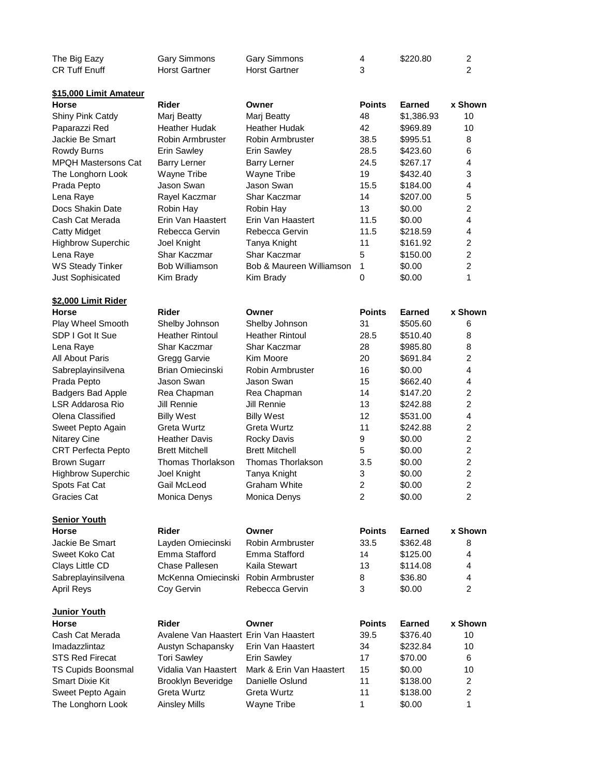| The Big Eazy  | Gary Simmons         | Gary Simmons         | \$220.80 |  |
|---------------|----------------------|----------------------|----------|--|
| CR Tuff Enuff | <b>Horst Gartner</b> | <b>Horst Gartner</b> |          |  |

**\$15,000 Limit Amateur**

| Horse                      | Rider                                  | Owner                    | <b>Points</b>  | <b>Earned</b> | x Shown                 |
|----------------------------|----------------------------------------|--------------------------|----------------|---------------|-------------------------|
| Shiny Pink Catdy           | Marj Beatty                            | Marj Beatty              | 48             | \$1,386.93    | 10                      |
| Paparazzi Red              | <b>Heather Hudak</b>                   | <b>Heather Hudak</b>     | 42             | \$969.89      | 10                      |
| Jackie Be Smart            | Robin Armbruster                       | Robin Armbruster         | 38.5           | \$995.51      | 8                       |
| Rowdy Burns                | <b>Erin Sawley</b>                     | <b>Erin Sawley</b>       | 28.5           | \$423.60      | 6                       |
| <b>MPQH Mastersons Cat</b> | <b>Barry Lerner</b>                    | <b>Barry Lerner</b>      | 24.5           | \$267.17      | $\overline{4}$          |
| The Longhorn Look          | Wayne Tribe                            | Wayne Tribe              | 19             | \$432.40      | 3                       |
| Prada Pepto                | Jason Swan                             | Jason Swan               | 15.5           | \$184.00      | 4                       |
| Lena Raye                  | Rayel Kaczmar                          | Shar Kaczmar             | 14             | \$207.00      | 5                       |
| Docs Shakin Date           | Robin Hay                              | Robin Hay                | 13             | \$0.00        | $\overline{2}$          |
| Cash Cat Merada            | Erin Van Haastert                      | Erin Van Haastert        | 11.5           | \$0.00        | $\overline{4}$          |
| <b>Catty Midget</b>        | Rebecca Gervin                         | Rebecca Gervin           | 11.5           | \$218.59      | $\overline{\mathbf{4}}$ |
| <b>Highbrow Superchic</b>  | Joel Knight                            | Tanya Knight             | 11             | \$161.92      | $\overline{c}$          |
| Lena Raye                  | Shar Kaczmar                           | Shar Kaczmar             | 5              | \$150.00      | $\overline{2}$          |
| <b>WS Steady Tinker</b>    | <b>Bob Williamson</b>                  | Bob & Maureen Williamson | $\mathbf{1}$   | \$0.00        | $\overline{c}$          |
| Just Sophisicated          | Kim Brady                              | Kim Brady                | 0              | \$0.00        | 1                       |
| <u>\$2,000 Limit Rider</u> |                                        |                          |                |               |                         |
| Horse                      | <b>Rider</b>                           | Owner                    | <b>Points</b>  | <b>Earned</b> | x Shown                 |
| Play Wheel Smooth          | Shelby Johnson                         | Shelby Johnson           | 31             | \$505.60      | 6                       |
| SDP I Got It Sue           | <b>Heather Rintoul</b>                 | <b>Heather Rintoul</b>   | 28.5           | \$510.40      | 8                       |
| Lena Raye                  | Shar Kaczmar                           | Shar Kaczmar             | 28             | \$985.80      | 8                       |
| All About Paris            | Gregg Garvie                           | Kim Moore                | 20             | \$691.84      | $\overline{2}$          |
| Sabreplayinsilvena         | <b>Brian Omiecinski</b>                | Robin Armbruster         | 16             | \$0.00        | 4                       |
| Prada Pepto                | Jason Swan                             | Jason Swan               | 15             | \$662.40      | $\overline{4}$          |
| <b>Badgers Bad Apple</b>   | Rea Chapman                            | Rea Chapman              | 14             | \$147.20      | $\overline{c}$          |
| LSR Addarosa Rio           | <b>Jill Rennie</b>                     | <b>Jill Rennie</b>       | 13             | \$242.88      | $\overline{2}$          |
| Olena Classified           | <b>Billy West</b>                      | <b>Billy West</b>        | 12             | \$531.00      | $\overline{4}$          |
| Sweet Pepto Again          | Greta Wurtz                            | Greta Wurtz              | 11             | \$242.88      | $\overline{2}$          |
| Nitarey Cine               | <b>Heather Davis</b>                   | Rocky Davis              | 9              | \$0.00        | $\overline{2}$          |
| <b>CRT Perfecta Pepto</b>  | <b>Brett Mitchell</b>                  | <b>Brett Mitchell</b>    | 5              | \$0.00        | $\overline{2}$          |
| <b>Brown Sugarr</b>        | Thomas Thorlakson                      | Thomas Thorlakson        | 3.5            | \$0.00        | $\overline{2}$          |
| <b>Highbrow Superchic</b>  | Joel Knight                            | Tanya Knight             | 3              | \$0.00        | $\overline{2}$          |
| Spots Fat Cat              | Gail McLeod                            | <b>Graham White</b>      | $\overline{c}$ | \$0.00        | $\overline{2}$          |
| Gracies Cat                | Monica Denys                           | Monica Denys             | $\overline{2}$ | \$0.00        | $\overline{2}$          |
| <b>Senior Youth</b>        |                                        |                          |                |               |                         |
| Horse                      | Rider                                  | Owner                    | <b>Points</b>  | Earned        | x Shown                 |
| Jackie Be Smart            | Layden Omiecinski                      | Robin Armbruster         | 33.5           | \$362.48      | 8                       |
| Sweet Koko Cat             | Emma Stafford                          | Emma Stafford            | 14             | \$125.00      | 4                       |
| Clays Little CD            | Chase Pallesen                         | Kaila Stewart            | 13             | \$114.08      | 4                       |
| Sabreplayinsilvena         | McKenna Omiecinski Robin Armbruster    |                          | 8              | \$36.80       | 4                       |
| April Reys                 | Coy Gervin                             | Rebecca Gervin           | 3              | \$0.00        | $\overline{2}$          |
| <u> Junior Youth</u>       |                                        |                          |                |               |                         |
| Horse                      | Rider                                  | Owner                    | <b>Points</b>  | <b>Earned</b> | x Shown                 |
| Cash Cat Merada            | Avalene Van Haastert Erin Van Haastert |                          | 39.5           | \$376.40      | 10                      |
| Imadazzlintaz              | Austyn Schapansky                      | Erin Van Haastert        | 34             | \$232.84      | 10                      |
| STS Red Firecat            | <b>Tori Sawley</b>                     | <b>Erin Sawley</b>       | 17             | \$70.00       | 6                       |
| TS Cupids Boonsmal         | Vidalia Van Haastert                   | Mark & Erin Van Haastert | 15             | \$0.00        | 10                      |
| Smart Dixie Kit            | Brooklyn Beveridge                     | Danielle Oslund          | 11             | \$138.00      | $\overline{2}$          |
| Sweet Pepto Again          | Greta Wurtz                            | Greta Wurtz              | 11             | \$138.00      | 2                       |
| The Longhorn Look          | <b>Ainsley Mills</b>                   | Wayne Tribe              | 1              | \$0.00        | 1                       |